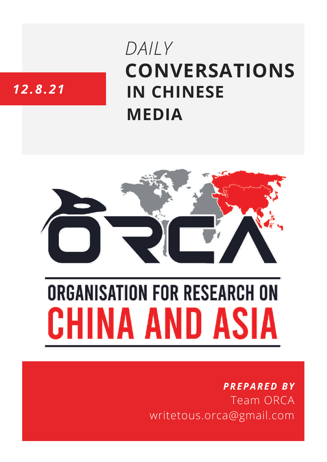# **CONVERSATIONS IN CHINESE MEDIA** *DAILY*

## *12.8.21*



# **ORGANISATION FOR RESEARCH ON** HINA AND ASIA

### *PREPARED BY* Team ORCA writetous.orca@gmail.com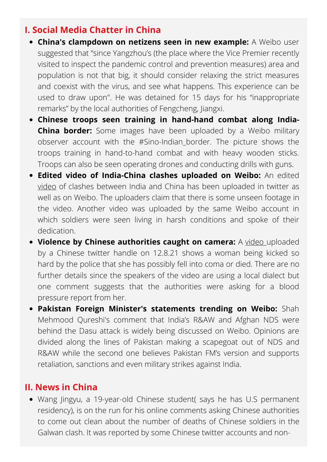#### **I. Social Media Chatter in China**

- **China's clampdown on netizens seen in new example:** A Weibo user suggested that "since Yangzhou's (the place where the Vice Premier recently visited to inspect the pandemic control and prevention measures) area and population is not that big, it should consider relaxing the strict measures and coexist with the virus, and see what happens. This experience can be used to draw upon". He was detained for 15 days for his "inappropriate remarks" by the local authorities of Fengcheng, Jiangxi.
- **Chinese troops seen training in hand-hand combat along India-China border:** Some images have been uploaded by a Weibo military observer account with the #Sino-Indian\_border. The picture shows the troops training in hand-to-hand combat and with heavy wooden sticks. Troops can also be seen operating drones and conducting drills with guns.
- **Edited video of India-China clashes uploaded on Weibo:** An edited [video](https://twitter.com/evazhengll/status/1425839347178385412) of clashes between India and China has been uploaded in twitter as well as on Weibo. The uploaders claim that there is some unseen footage in the video. Another video was uploaded by the same Weibo account in which soldiers were seen living in harsh conditions and spoke of their dedication.
- **Violence by Chinese authorities caught on camera:** A [video](https://twitter.com/645Pr0RoZT8CwA7/status/1425628406968774660?s=08) uploaded by a Chinese twitter handle on 12.8.21 shows a woman being kicked so hard by the police that she has possibly fell into coma or died. There are no further details since the speakers of the video are using a local dialect but one comment suggests that the authorities were asking for a blood pressure report from her.
- **Pakistan Foreign Minister's statements trending on Weibo:** Shah Mehmood Qureshi's comment that India's R&AW and Afghan NDS were behind the Dasu attack is widely being discussed on Weibo. Opinions are divided along the lines of Pakistan making a scapegoat out of NDS and R&AW while the second one believes Pakistan FM's version and supports retaliation, sanctions and even military strikes against India.

#### **II. News in China**

• Wang Jingyu, a 19-year-old Chinese student( says he has U.S permanent residency), is on the run for his online comments asking Chinese authorities to come out clean about the number of deaths of Chinese soldiers in the Galwan clash. It was reported by some Chinese twitter accounts and non-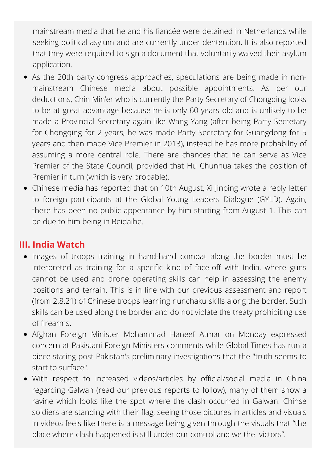mainstream media that he and his fiancée were detained in Netherlands while seeking political asylum and are currently under dentention. It is also reported that they were required to sign a document that voluntarily waived their asylum application.

- As the 20th party congress approaches, speculations are being made in nonmainstream Chinese media about possible appointments. As per our deductions, Chin Min'er who is currently the Party Secretary of Chongqing looks to be at great advantage because he is only 60 years old and is unlikely to be made a Provincial Secretary again like Wang Yang (after being Party Secretary for Chongqing for 2 years, he was made Party Secretary for Guangdong for 5 years and then made Vice Premier in 2013), instead he has more probability of assuming a more central role. There are chances that he can serve as Vice Premier of the State Council, provided that Hu Chunhua takes the position of Premier in turn (which is very probable).
- Chinese media has reported that on 10th August, Xi Jinping wrote a reply letter to foreign participants at the Global Young Leaders Dialogue (GYLD). Again, there has been no public appearance by him starting from August 1. This can be due to him being in Beidaihe.

#### **III. India Watch**

- Images of troops training in hand-hand combat along the border must be interpreted as training for a specific kind of face-off with India, where guns cannot be used and drone operating skills can help in assessing the enemy positions and terrain. This is in line with our previous assessment and report (from 2.8.21) of Chinese troops learning nunchaku skills along the border. Such skills can be used along the border and do not violate the treaty prohibiting use of firearms.
- Afghan Foreign Minister Mohammad Haneef Atmar on Monday expressed concern at Pakistani Foreign Ministers comments while Global Times has run a piece stating post Pakistan's preliminary investigations that the "truth seems to start to surface".
- With respect to increased videos/articles by official/social media in China regarding Galwan (read our previous reports to follow), many of them show a ravine which looks like the spot where the clash occurred in Galwan. Chinse soldiers are standing with their flag, seeing those pictures in articles and visuals in videos feels like there is a message being given through the visuals that "the place where clash happened is still under our control and we the victors".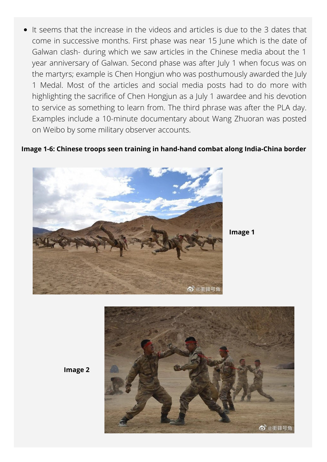It seems that the increase in the videos and articles is due to the 3 dates that come in successive months. First phase was near 15 June which is the date of Galwan clash- during which we saw articles in the Chinese media about the 1 year anniversary of Galwan. Second phase was after July 1 when focus was on the martyrs; example is Chen Hongjun who was posthumously awarded the July 1 Medal. Most of the articles and social media posts had to do more with highlighting the sacrifice of Chen Hongjun as a July 1 awardee and his devotion to service as something to learn from. The third phrase was after the PLA day. Examples include a 10-minute documentary about Wang Zhuoran was posted on Weibo by some military observer accounts.

#### **Image 1-6: Chinese troops seen training in hand-hand combat along India-China border**



**Image 1**



**Image 2**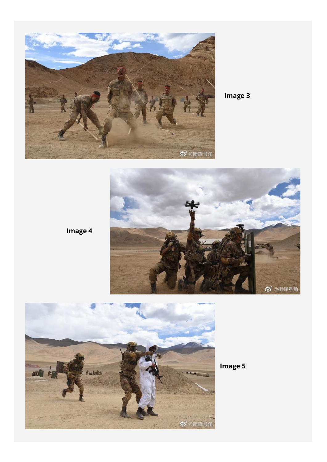

**Image 3**



**Image 4**



**Image 5**